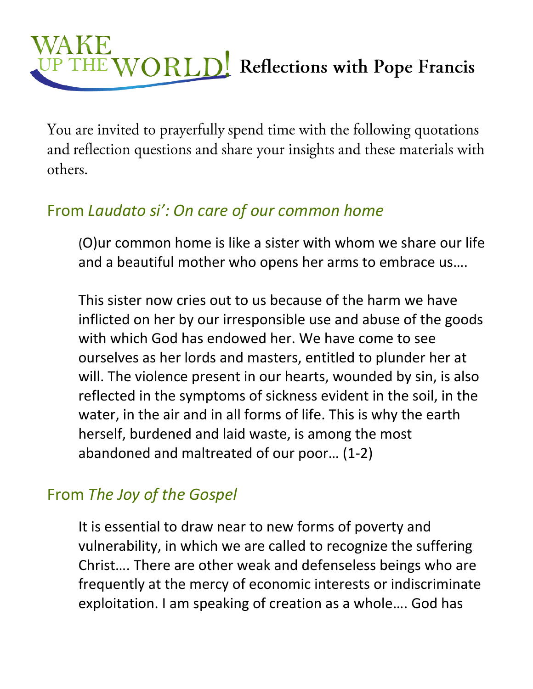## HE WORLD Reflections with Pope Francis

You are invited to prayerfully spend time with the following quotations and reflection questions and share your insights and these materials with others.

## From *Laudato si': On care of our common home*

(O)ur common home is like a sister with whom we share our life and a beautiful mother who opens her arms to embrace us….

This sister now cries out to us because of the harm we have inflicted on her by our irresponsible use and abuse of the goods with which God has endowed her. We have come to see ourselves as her lords and masters, entitled to plunder her at will. The violence present in our hearts, wounded by sin, is also reflected in the symptoms of sickness evident in the soil, in the water, in the air and in all forms of life. This is why the earth herself, burdened and laid waste, is among the most abandoned and maltreated of our poor… (1-2)

## From *The Joy of the Gospel*

It is essential to draw near to new forms of poverty and vulnerability, in which we are called to recognize the suffering Christ…. There are other weak and defenseless beings who are frequently at the mercy of economic interests or indiscriminate exploitation. I am speaking of creation as a whole…. God has